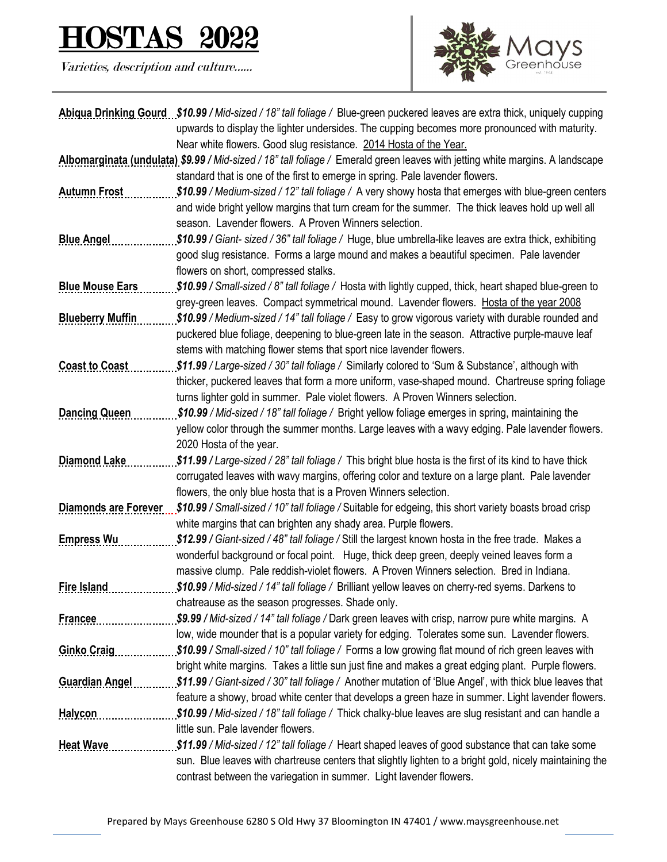## <u>2022</u>

Varieties, description and culture……



|                             | Abigua Drinking Gourd \$10.99 / Mid-sized / 18" tall foliage / Blue-green puckered leaves are extra thick, uniquely cupping   |
|-----------------------------|-------------------------------------------------------------------------------------------------------------------------------|
|                             | upwards to display the lighter undersides. The cupping becomes more pronounced with maturity.                                 |
|                             | Near white flowers. Good slug resistance. 2014 Hosta of the Year.                                                             |
|                             | Albomarginata (undulata) \$9.99 / Mid-sized / 18" tall foliage / Emerald green leaves with jetting white margins. A landscape |
|                             | standard that is one of the first to emerge in spring. Pale lavender flowers.                                                 |
| <b>Autumn Frost</b>         | \$10.99 / Medium-sized / 12" tall foliage / A very showy hosta that emerges with blue-green centers                           |
|                             | and wide bright yellow margins that turn cream for the summer. The thick leaves hold up well all                              |
|                             | season. Lavender flowers. A Proven Winners selection.                                                                         |
| <b>Blue Angel</b>           | \$10.99 / Giant- sized / 36" tall foliage / Huge, blue umbrella-like leaves are extra thick, exhibiting                       |
|                             | good slug resistance. Forms a large mound and makes a beautiful specimen. Pale lavender                                       |
|                             | flowers on short, compressed stalks.                                                                                          |
| <b>Blue Mouse Ears</b>      | \$10.99 / Small-sized / 8" tall foliage / Hosta with lightly cupped, thick, heart shaped blue-green to                        |
|                             | grey-green leaves. Compact symmetrical mound. Lavender flowers. Hosta of the year 2008                                        |
| <b>Blueberry Muffin</b>     | \$10.99 / Medium-sized / 14" tall foliage / Easy to grow vigorous variety with durable rounded and                            |
|                             | puckered blue foliage, deepening to blue-green late in the season. Attractive purple-mauve leaf                               |
|                             | stems with matching flower stems that sport nice lavender flowers.                                                            |
| <b>Coast to Coast</b>       | \$11.99 / Large-sized / 30" tall foliage / Similarly colored to 'Sum & Substance', although with                              |
|                             | thicker, puckered leaves that form a more uniform, vase-shaped mound. Chartreuse spring foliage                               |
|                             | turns lighter gold in summer. Pale violet flowers. A Proven Winners selection.                                                |
| <b>Dancing Queen</b>        | \$10.99 / Mid-sized / 18" tall foliage / Bright yellow foliage emerges in spring, maintaining the                             |
|                             | yellow color through the summer months. Large leaves with a wavy edging. Pale lavender flowers.                               |
|                             | 2020 Hosta of the year.                                                                                                       |
| <b>Diamond Lake</b>         | \$11.99 / Large-sized / 28" tall foliage / This bright blue hosta is the first of its kind to have thick                      |
|                             | corrugated leaves with wavy margins, offering color and texture on a large plant. Pale lavender                               |
|                             | flowers, the only blue hosta that is a Proven Winners selection.                                                              |
| <b>Diamonds are Forever</b> | \$10.99 / Small-sized / 10" tall foliage / Suitable for edgeing, this short variety boasts broad crisp                        |
|                             | white margins that can brighten any shady area. Purple flowers.                                                               |
| <b>Empress Wu</b>           | \$12.99 / Giant-sized / 48" tall foliage / Still the largest known hosta in the free trade. Makes a                           |
|                             | wonderful background or focal point. Huge, thick deep green, deeply veined leaves form a                                      |
|                             | massive clump. Pale reddish-violet flowers. A Proven Winners selection. Bred in Indiana.                                      |
| Fire Island                 | \$10.99 / Mid-sized / 14" tall foliage / Brilliant yellow leaves on cherry-red syems. Darkens to                              |
|                             | chatreause as the season progresses. Shade only.                                                                              |
| <b>Francee</b>              | \$9.99 / Mid-sized / 14" tall foliage / Dark green leaves with crisp, narrow pure white margins. A                            |
|                             | low, wide mounder that is a popular variety for edging. Tolerates some sun. Lavender flowers.                                 |
| <b>Ginko Craig</b>          | \$10.99 / Small-sized / 10" tall foliage / Forms a low growing flat mound of rich green leaves with                           |
|                             | bright white margins. Takes a little sun just fine and makes a great edging plant. Purple flowers.                            |
| <b>Guardian Angel</b>       | \$11.99 / Giant-sized / 30" tall foliage / Another mutation of 'Blue Angel', with thick blue leaves that                      |
|                             | feature a showy, broad white center that develops a green haze in summer. Light lavender flowers.                             |
| <b>Halycon</b>              | \$10.99 / Mid-sized / 18" tall foliage / Thick chalky-blue leaves are slug resistant and can handle a                         |
|                             | little sun. Pale lavender flowers.                                                                                            |
| <b>Heat Wave</b>            | \$11.99 / Mid-sized / 12" tall foliage / Heart shaped leaves of good substance that can take some                             |
|                             | sun. Blue leaves with chartreuse centers that slightly lighten to a bright gold, nicely maintaining the                       |
|                             | contrast between the variegation in summer. Light lavender flowers.                                                           |